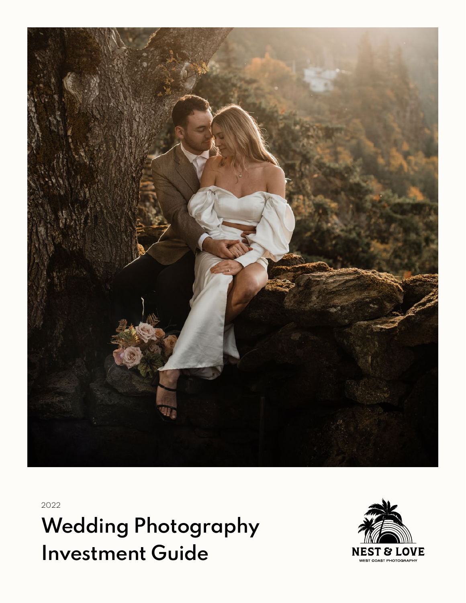

2022

Wedding Photography Investment Guide

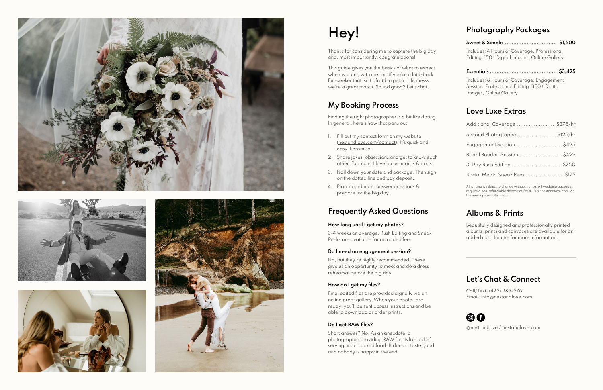







# Hey!

Thanks for considering me to capture the big day and, most importantly, congratulations!

This guide gives you the basics of what to expect when working with me, but if you're a laid-back fun-seeker that isn't afraid to get a little messy, we're a great match. Sound good? Let's chat.

## My Booking Process

Finding the right photographer is a bit like dating. In general, here's how that pans out.

- 1. Fill out my contact form on my website (nestandlove.com/contact). It's quick and easy, I promise.
- 2. Share jokes, obsessions and get to know each other. Example: I love tacos, margs & dogs.
- 3. Nail down your date and package. Then sign on the dotted line and pay deposit.
- 4. Plan, coordinate, answer questions & prepare for the big day.

## Frequently Asked Questions

## How long until I get my photos?

3-4 weeks on average. Rush Editing and Sneak Peeks are available for an added fee.

## Do I need an engagement session?

No, but they're highly recommended! These give us an opportunity to meet and do a dress rehearsal before the big day.

## How do I get my files?

Final edited files are provided digitally via an online proof gallery. When your photos are ready, you'll be sent access instructions and be able to download or order prints.

## Do I get RAW files?

Short answer? No. As an anecdote, a photographer providing RAW files is like a chef serving undercooked food. It doesn't taste good and nobody is happy in the end.

# Photography Packages

| Includes: 4 Hours of Coverage, Professional  |
|----------------------------------------------|
| Editing, 150+ Digital Images, Online Gallery |

Essentials ........................................ \$3,425

Includes: 8 Hours of Coverage, Engagement Session, Professional Editing, 350+ Digital Images, Online Gallery

## Love Luxe Extras

| Additional Coverage  \$375/hr |
|-------------------------------|
| Second Photographer\$125/hr   |
| Engagement Session \$425      |
| Bridal Boudoir Session \$499  |
| 3-Day Rush Editing  \$750     |
| Social Media Sneak Peek\$175  |

All pricing is subject to change without notice. All wedding packages require a non-refundable deposit of \$500. Visit nestandlove.com for the most up-to-date pricing.

# Albums & Prints

Beautifully designed and professionally printed albums, prints and canvases are available for an added cost. Inquire for more information.

# Let's Chat & Connect

Call/Text: (425) 985-5761 Email: info@nestandlove.com



@nestandlove / nestandlove.com